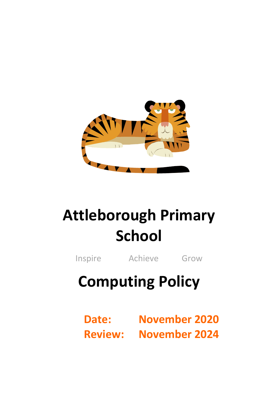

# **Attleborough Primary School**

Inspire Achieve Grow

# **Computing Policy**

**Date: November 2020 Review: November 2024**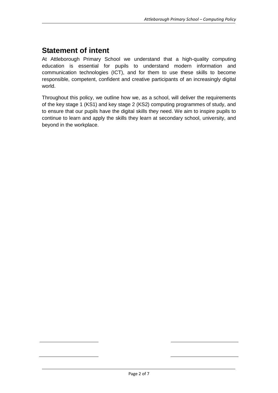## **Statement of intent**

At Attleborough Primary School we understand that a high-quality computing education is essential for pupils to understand modern information and communication technologies (ICT), and for them to use these skills to become responsible, competent, confident and creative participants of an increasingly digital world.

Throughout this policy, we outline how we, as a school, will deliver the requirements of the key stage 1 (KS1) and key stage 2 (KS2) computing programmes of study, and to ensure that our pupils have the digital skills they need. We aim to inspire pupils to continue to learn and apply the skills they learn at secondary school, university, and beyond in the workplace.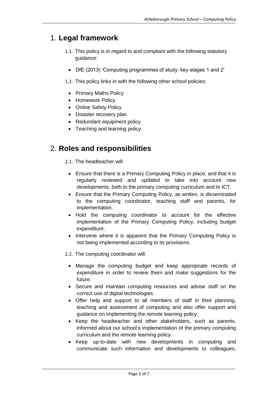#### 1. **Legal framework**

- 1.1. This policy is in regard to and compliant with the following statutory guidance:
	- DfE (2013) 'Computing programmes of study: key stages 1 and 2'
- 1.2. This policy links in with the following other school policies:
	- Primary Maths Policy
	- Homework Policy
	- Online Safety Policy
	- Disaster recovery plan
	- Redundant equipment policy
- Teaching and learning policy

#### 2. **Roles and responsibilities**

- 2.1. The headteacher will:
	- Ensure that there is a Primary Computing Policy in place, and that it is regularly reviewed and updated to take into account new developments, both to the primary computing curriculum and to ICT.
	- Ensure that the Primary Computing Policy, as written, is disseminated to the computing coordinator, teaching staff and parents, for implementation.
	- Hold the computing coordinator to account for the effective implementation of the Primary Computing Policy, including budget expenditure.
	- Intervene where it is apparent that the Primary Computing Policy is not being implemented according to its provisions.
- 2.2. The computing coordinator will:
	- Manage the computing budget and keep appropriate records of expenditure in order to review them and make suggestions for the future.
	- Secure and maintain computing resources and advise staff on the correct use of digital technologies.
	- Offer help and support to all members of staff in their planning, teaching and assessment of computing and also offer support and guidance on implementing the remote learning policy.
	- Keep the headteacher and other stakeholders, such as parents, informed about our school's implementation of the primary computing curriculum and the remote learning policy.
	- Keep up-to-date with new developments in computing and communicate such information and developments to colleagues,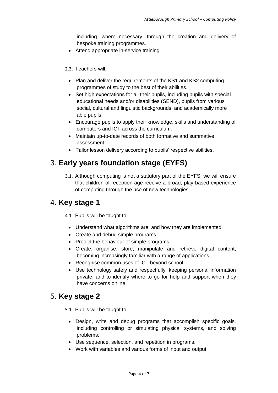including, where necessary, through the creation and delivery of bespoke training programmes.

- Attend appropriate in-service training.
- 2.3. Teachers will:
	- Plan and deliver the requirements of the KS1 and KS2 computing programmes of study to the best of their abilities.
	- Set high expectations for all their pupils, including pupils with special educational needs and/or disabilities (SEND), pupils from various social, cultural and linguistic backgrounds, and academically more able pupils.
	- Encourage pupils to apply their knowledge, skills and understanding of computers and ICT across the curriculum.
	- Maintain up-to-date records of both formative and summative assessment.
	- Tailor lesson delivery according to pupils' respective abilities.

### 3. **Early years foundation stage (EYFS)**

3.1. Although computing is not a statutory part of the EYFS, we will ensure that children of reception age receive a broad, play-based experience of computing through the use of new technologies.

#### 4. **Key stage 1**

4.1. Pupils will be taught to:

- Understand what algorithms are, and how they are implemented.
- Create and debug simple programs.
- Predict the behaviour of simple programs.
- Create, organise, store, manipulate and retrieve digital content, becoming increasingly familiar with a range of applications.
- Recognise common uses of ICT beyond school.
- Use technology safely and respectfully, keeping personal information private, and to identify where to go for help and support when they have concerns online.

#### 5. **Key stage 2**

5.1. Pupils will be taught to:

- Design, write and debug programs that accomplish specific goals, including controlling or simulating physical systems, and solving problems.
- Use sequence, selection, and repetition in programs.
- Work with variables and various forms of input and output.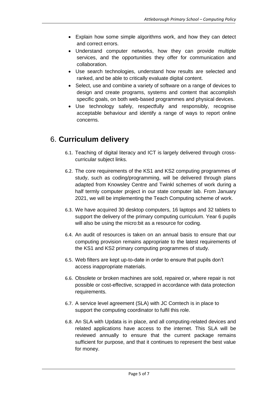- Explain how some simple algorithms work, and how they can detect and correct errors.
- Understand computer networks, how they can provide multiple services, and the opportunities they offer for communication and collaboration.
- Use search technologies, understand how results are selected and ranked, and be able to critically evaluate digital content.
- Select, use and combine a variety of software on a range of devices to design and create programs, systems and content that accomplish specific goals, on both web-based programmes and physical devices.
- Use technology safely, respectfully and responsibly, recognise acceptable behaviour and identify a range of ways to report online concerns.

### 6. **Curriculum delivery**

- 6.1. Teaching of digital literacy and ICT is largely delivered through crosscurricular subject links.
- 6.2. The core requirements of the KS1 and KS2 computing programmes of study, such as coding/programming, will be delivered through plans adapted from Knowsley Centre and Twinkl schemes of work during a half termly computer project in our state computer lab. From January 2021, we will be implementing the Teach Computing scheme of work.
- 6.3. We have acquired 30 desktop computers, 16 laptops and 32 tablets to support the delivery of the primary computing curriculum. Year 6 pupils will also be using the micro:bit as a resource for coding.
- 6.4. An audit of resources is taken on an annual basis to ensure that our computing provision remains appropriate to the latest requirements of the KS1 and KS2 primary computing programmes of study.
- 6.5. Web filters are kept up-to-date in order to ensure that pupils don't access inappropriate materials.
- 6.6. Obsolete or broken machines are sold, repaired or, where repair is not possible or cost-effective, scrapped in accordance with data protection requirements.
- 6.7. A service level agreement (SLA) with JC Comtech is in place to support the computing coordinator to fulfil this role.
- 6.8. An SLA with Updata is in place, and all computing-related devices and related applications have access to the internet. This SLA will be reviewed annually to ensure that the current package remains sufficient for purpose, and that it continues to represent the best value for money.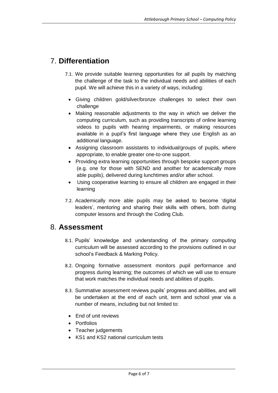# 7. **Differentiation**

- 7.1. We provide suitable learning opportunities for all pupils by matching the challenge of the task to the individual needs and abilities of each pupil. We will achieve this in a variety of ways, including:
	- Giving children gold/silver/bronze challenges to select their own challenge
	- Making reasonable adjustments to the way in which we deliver the computing curriculum, such as providing transcripts of online learning videos to pupils with hearing impairments, or making resources available in a pupil's first language where they use English as an additional language.
	- Assigning classroom assistants to individual/groups of pupils, where appropriate, to enable greater one-to-one support.
	- Providing extra learning opportunities through bespoke support groups (e.g. one for those with SEND and another for academically more able pupils), delivered during lunchtimes and/or after school.
	- Using cooperative learning to ensure all children are engaged in their learning
- 7.2. Academically more able pupils may be asked to become 'digital leaders', mentoring and sharing their skills with others, both during computer lessons and through the Coding Club.

#### 8. **Assessment**

- 8.1. Pupils' knowledge and understanding of the primary computing curriculum will be assessed according to the provisions outlined in our school's Feedback & Marking Policy.
- 8.2. Ongoing formative assessment monitors pupil performance and progress during learning; the outcomes of which we will use to ensure that work matches the individual needs and abilities of pupils.
- 8.3. Summative assessment reviews pupils' progress and abilities, and will be undertaken at the end of each unit, term and school year via a number of means, including but not limited to:
	- Fnd of unit reviews
	- Portfolios
	- Teacher judgements
	- KS1 and KS2 national curriculum tests